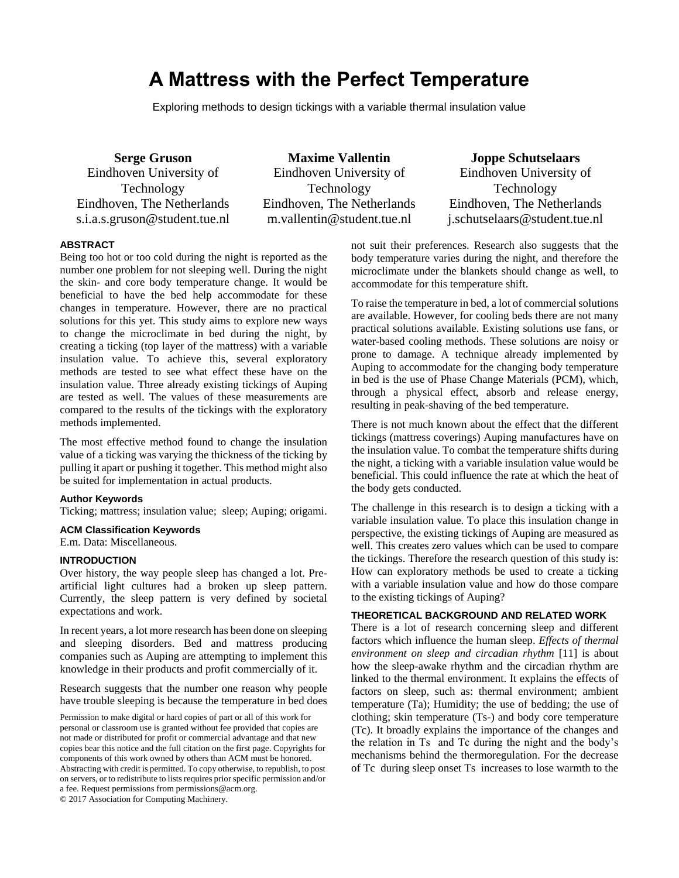# **A Mattress with the Perfect Temperature**

Exploring methods to design tickings with a variable thermal insulation value

**Serge Gruson** Eindhoven University of Technology Eindhoven, The Netherlands s.i.a.s.gruson@student.tue.nl

**Maxime Vallentin** Eindhoven University of Technology Eindhoven, The Netherlands m.vallentin@student.tue.nl

**Joppe Schutselaars** Eindhoven University of Technology Eindhoven, The Netherlands j.schutselaars@student.tue.nl

# **ABSTRACT**

Being too hot or too cold during the night is reported as the number one problem for not sleeping well. During the night the skin- and core body temperature change. It would be beneficial to have the bed help accommodate for these changes in temperature. However, there are no practical solutions for this yet. This study aims to explore new ways to change the microclimate in bed during the night, by creating a ticking (top layer of the mattress) with a variable insulation value. To achieve this, several exploratory methods are tested to see what effect these have on the insulation value. Three already existing tickings of Auping are tested as well. The values of these measurements are compared to the results of the tickings with the exploratory methods implemented.

The most effective method found to change the insulation value of a ticking was varying the thickness of the ticking by pulling it apart or pushing it together. This method might also be suited for implementation in actual products.

## **Author Keywords**

Ticking; mattress; insulation value; sleep; Auping; origami.

# **ACM Classification Keywords**

E.m. Data: Miscellaneous.

#### **INTRODUCTION**

Over history, the way people sleep has changed a lot. Preartificial light cultures had a broken up sleep pattern. Currently, the sleep pattern is very defined by societal expectations and work.

In recent years, a lot more research has been done on sleeping and sleeping disorders. Bed and mattress producing companies such as Auping are attempting to implement this knowledge in their products and profit commercially of it.

Research suggests that the number one reason why people have trouble sleeping is because the temperature in bed does

Permission to make digital or hard copies of part or all of this work for personal or classroom use is granted without fee provided that copies are not made or distributed for profit or commercial advantage and that new copies bear this notice and the full citation on the first page. Copyrights for components of this work owned by others than ACM must be honored. Abstracting with credit is permitted. To copy otherwise, to republish, to post on servers, or to redistribute to lists requires prior specific permission and/or a fee. Request permissions from permissions@acm.org.

© 2017 Association for Computing Machinery.

not suit their preferences. Research also suggests that the body temperature varies during the night, and therefore the microclimate under the blankets should change as well, to accommodate for this temperature shift.

To raise the temperature in bed, a lot of commercial solutions are available. However, for cooling beds there are not many practical solutions available. Existing solutions use fans, or water-based cooling methods. These solutions are noisy or prone to damage. A technique already implemented by Auping to accommodate for the changing body temperature in bed is the use of Phase Change Materials (PCM), which, through a physical effect, absorb and release energy, resulting in peak-shaving of the bed temperature.

There is not much known about the effect that the different tickings (mattress coverings) Auping manufactures have on the insulation value. To combat the temperature shifts during the night, a ticking with a variable insulation value would be beneficial. This could influence the rate at which the heat of the body gets conducted.

The challenge in this research is to design a ticking with a variable insulation value. To place this insulation change in perspective, the existing tickings of Auping are measured as well. This creates zero values which can be used to compare the tickings. Therefore the research question of this study is: How can exploratory methods be used to create a ticking with a variable insulation value and how do those compare to the existing tickings of Auping?

## **THEORETICAL BACKGROUND AND RELATED WORK**

There is a lot of research concerning sleep and different factors which influence the human sleep. *Effects of thermal environment on sleep and circadian rhythm* [11] is about how the sleep-awake rhythm and the circadian rhythm are linked to the thermal environment. It explains the effects of factors on sleep, such as: thermal environment; ambient temperature (Ta); Humidity; the use of bedding; the use of clothing; skin temperature (Ts-) and body core temperature (Tc). It broadly explains the importance of the changes and the relation in Ts and Tc during the night and the body's mechanisms behind the thermoregulation. For the decrease of Tc during sleep onset Ts increases to lose warmth to the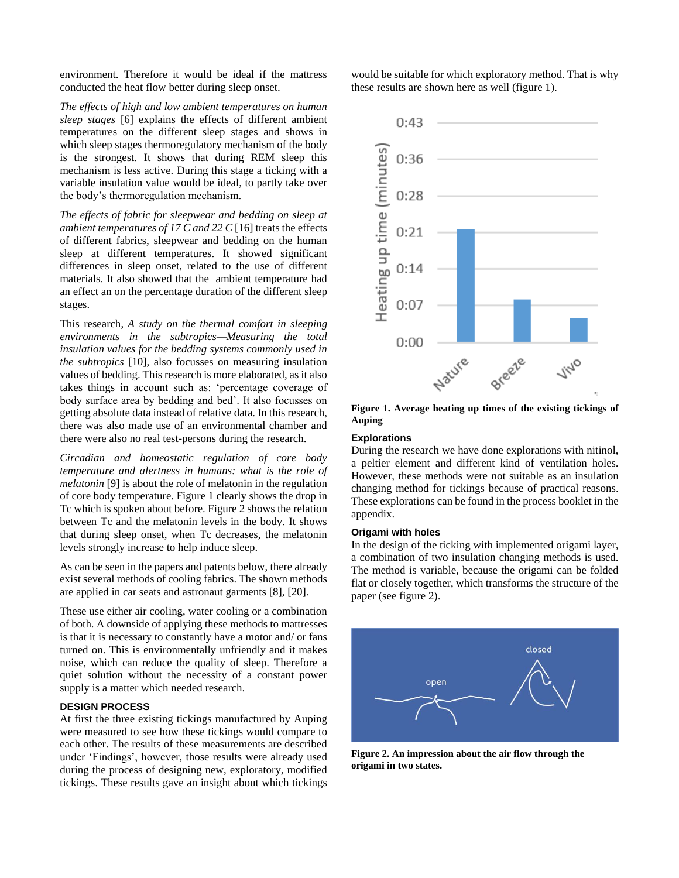environment. Therefore it would be ideal if the mattress conducted the heat flow better during sleep onset.

*The effects of high and low ambient temperatures on human sleep stages* [6] explains the effects of different ambient temperatures on the different sleep stages and shows in which sleep stages thermoregulatory mechanism of the body is the strongest. It shows that during REM sleep this mechanism is less active. During this stage a ticking with a variable insulation value would be ideal, to partly take over the body's thermoregulation mechanism.

*The effects of fabric for sleepwear and bedding on sleep at ambient temperatures of 17 C and 22 C* [16] treats the effects of different fabrics, sleepwear and bedding on the human sleep at different temperatures. It showed significant differences in sleep onset, related to the use of different materials. It also showed that the ambient temperature had an effect an on the percentage duration of the different sleep stages.

This research, *A study on the thermal comfort in sleeping environments in the subtropics—Measuring the total insulation values for the bedding systems commonly used in the subtropics* [10], also focusses on measuring insulation values of bedding. This research is more elaborated, as it also takes things in account such as: 'percentage coverage of body surface area by bedding and bed'. It also focusses on getting absolute data instead of relative data. In this research, there was also made use of an environmental chamber and there were also no real test-persons during the research.

*Circadian and homeostatic regulation of core body temperature and alertness in humans: what is the role of melatonin* [9] is about the role of melatonin in the regulation of core body temperature. Figure 1 clearly shows the drop in Tc which is spoken about before. Figure 2 shows the relation between Tc and the melatonin levels in the body. It shows that during sleep onset, when Tc decreases, the melatonin levels strongly increase to help induce sleep.

As can be seen in the papers and patents below, there already exist several methods of cooling fabrics. The shown methods are applied in car seats and astronaut garments [8], [20].

These use either air cooling, water cooling or a combination of both. A downside of applying these methods to mattresses is that it is necessary to constantly have a motor and/ or fans turned on. This is environmentally unfriendly and it makes noise, which can reduce the quality of sleep. Therefore a quiet solution without the necessity of a constant power supply is a matter which needed research.

# **DESIGN PROCESS**

At first the three existing tickings manufactured by Auping were measured to see how these tickings would compare to each other. The results of these measurements are described under 'Findings', however, those results were already used during the process of designing new, exploratory, modified tickings. These results gave an insight about which tickings

would be suitable for which exploratory method. That is why these results are shown here as well (figure 1).



**Figure 1. Average heating up times of the existing tickings of Auping**

#### **Explorations**

During the research we have done explorations with nitinol, a peltier element and different kind of ventilation holes. However, these methods were not suitable as an insulation changing method for tickings because of practical reasons. These explorations can be found in the process booklet in the appendix.

#### **Origami with holes**

In the design of the ticking with implemented origami layer, a combination of two insulation changing methods is used. The method is variable, because the origami can be folded flat or closely together, which transforms the structure of the paper (see figure 2).



**Figure 2. An impression about the air flow through the origami in two states.**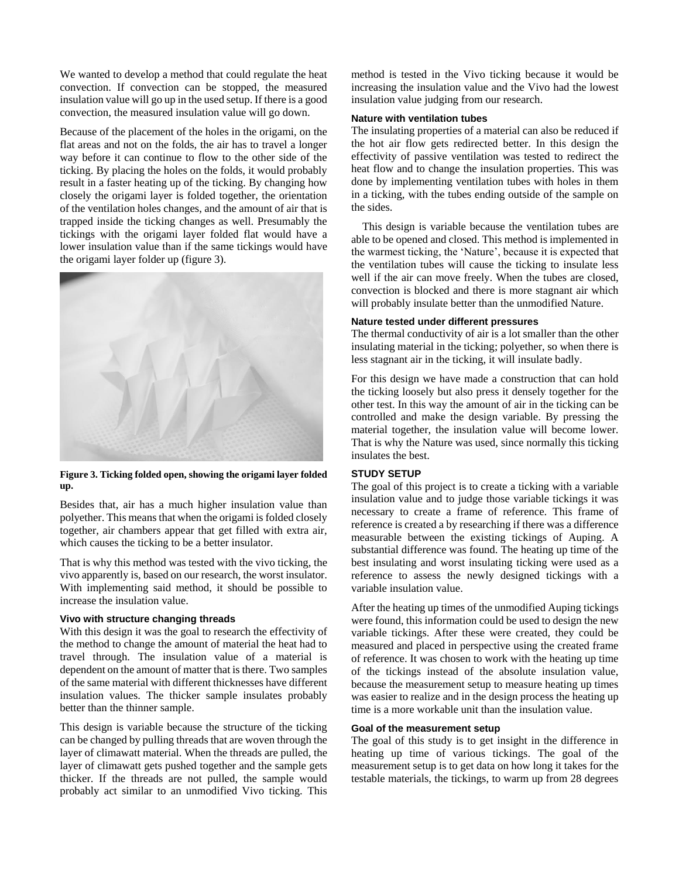We wanted to develop a method that could regulate the heat convection. If convection can be stopped, the measured insulation value will go up in the used setup. If there is a good convection, the measured insulation value will go down.

Because of the placement of the holes in the origami, on the flat areas and not on the folds, the air has to travel a longer way before it can continue to flow to the other side of the ticking. By placing the holes on the folds, it would probably result in a faster heating up of the ticking. By changing how closely the origami layer is folded together, the orientation of the ventilation holes changes, and the amount of air that is trapped inside the ticking changes as well. Presumably the tickings with the origami layer folded flat would have a lower insulation value than if the same tickings would have the origami layer folder up (figure 3).



**Figure 3. Ticking folded open, showing the origami layer folded up.**

Besides that, air has a much higher insulation value than polyether. This means that when the origami is folded closely together, air chambers appear that get filled with extra air, which causes the ticking to be a better insulator.

That is why this method was tested with the vivo ticking, the vivo apparently is, based on our research, the worst insulator. With implementing said method, it should be possible to increase the insulation value.

## **Vivo with structure changing threads**

With this design it was the goal to research the effectivity of the method to change the amount of material the heat had to travel through. The insulation value of a material is dependent on the amount of matter that is there. Two samples of the same material with different thicknesses have different insulation values. The thicker sample insulates probably better than the thinner sample.

This design is variable because the structure of the ticking can be changed by pulling threads that are woven through the layer of climawatt material. When the threads are pulled, the layer of climawatt gets pushed together and the sample gets thicker. If the threads are not pulled, the sample would probably act similar to an unmodified Vivo ticking. This

method is tested in the Vivo ticking because it would be increasing the insulation value and the Vivo had the lowest insulation value judging from our research.

#### **Nature with ventilation tubes**

The insulating properties of a material can also be reduced if the hot air flow gets redirected better. In this design the effectivity of passive ventilation was tested to redirect the heat flow and to change the insulation properties. This was done by implementing ventilation tubes with holes in them in a ticking, with the tubes ending outside of the sample on the sides.

 This design is variable because the ventilation tubes are able to be opened and closed. This method is implemented in the warmest ticking, the 'Nature', because it is expected that the ventilation tubes will cause the ticking to insulate less well if the air can move freely. When the tubes are closed, convection is blocked and there is more stagnant air which will probably insulate better than the unmodified Nature.

#### **Nature tested under different pressures**

The thermal conductivity of air is a lot smaller than the other insulating material in the ticking; polyether, so when there is less stagnant air in the ticking, it will insulate badly.

For this design we have made a construction that can hold the ticking loosely but also press it densely together for the other test. In this way the amount of air in the ticking can be controlled and make the design variable. By pressing the material together, the insulation value will become lower. That is why the Nature was used, since normally this ticking insulates the best.

## **STUDY SETUP**

The goal of this project is to create a ticking with a variable insulation value and to judge those variable tickings it was necessary to create a frame of reference. This frame of reference is created a by researching if there was a difference measurable between the existing tickings of Auping. A substantial difference was found. The heating up time of the best insulating and worst insulating ticking were used as a reference to assess the newly designed tickings with a variable insulation value.

After the heating up times of the unmodified Auping tickings were found, this information could be used to design the new variable tickings. After these were created, they could be measured and placed in perspective using the created frame of reference. It was chosen to work with the heating up time of the tickings instead of the absolute insulation value, because the measurement setup to measure heating up times was easier to realize and in the design process the heating up time is a more workable unit than the insulation value.

## **Goal of the measurement setup**

The goal of this study is to get insight in the difference in heating up time of various tickings. The goal of the measurement setup is to get data on how long it takes for the testable materials, the tickings, to warm up from 28 degrees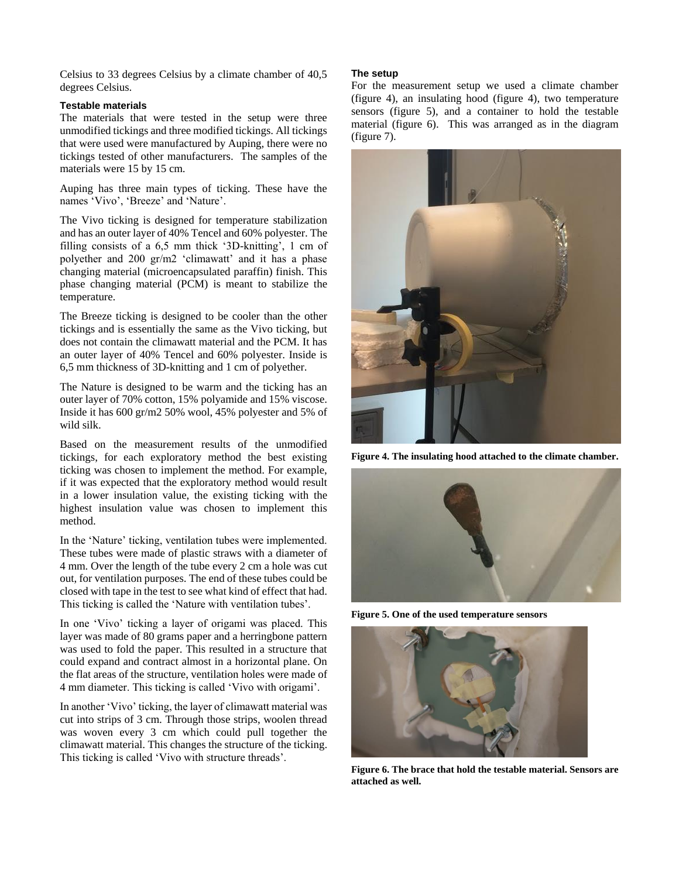Celsius to 33 degrees Celsius by a climate chamber of 40,5 degrees Celsius.

## **Testable materials**

The materials that were tested in the setup were three unmodified tickings and three modified tickings. All tickings that were used were manufactured by Auping, there were no tickings tested of other manufacturers. The samples of the materials were 15 by 15 cm.

Auping has three main types of ticking. These have the names 'Vivo', 'Breeze' and 'Nature'.

The Vivo ticking is designed for temperature stabilization and has an outer layer of 40% Tencel and 60% polyester. The filling consists of a 6,5 mm thick '3D-knitting', 1 cm of polyether and 200 gr/m2 'climawatt' and it has a phase changing material (microencapsulated paraffin) finish. This phase changing material (PCM) is meant to stabilize the temperature.

The Breeze ticking is designed to be cooler than the other tickings and is essentially the same as the Vivo ticking, but does not contain the climawatt material and the PCM. It has an outer layer of 40% Tencel and 60% polyester. Inside is 6,5 mm thickness of 3D-knitting and 1 cm of polyether.

The Nature is designed to be warm and the ticking has an outer layer of 70% cotton, 15% polyamide and 15% viscose. Inside it has 600 gr/m2 50% wool, 45% polyester and 5% of wild silk.

Based on the measurement results of the unmodified tickings, for each exploratory method the best existing ticking was chosen to implement the method. For example, if it was expected that the exploratory method would result in a lower insulation value, the existing ticking with the highest insulation value was chosen to implement this method.

In the 'Nature' ticking, ventilation tubes were implemented. These tubes were made of plastic straws with a diameter of 4 mm. Over the length of the tube every 2 cm a hole was cut out, for ventilation purposes. The end of these tubes could be closed with tape in the test to see what kind of effect that had. This ticking is called the 'Nature with ventilation tubes'.

In one 'Vivo' ticking a layer of origami was placed. This layer was made of 80 grams paper and a herringbone pattern was used to fold the paper. This resulted in a structure that could expand and contract almost in a horizontal plane. On the flat areas of the structure, ventilation holes were made of 4 mm diameter. This ticking is called 'Vivo with origami'.

In another 'Vivo' ticking, the layer of climawatt material was cut into strips of 3 cm. Through those strips, woolen thread was woven every 3 cm which could pull together the climawatt material. This changes the structure of the ticking. This ticking is called 'Vivo with structure threads'.

## **The setup**

For the measurement setup we used a climate chamber (figure 4), an insulating hood (figure 4), two temperature sensors (figure 5), and a container to hold the testable material (figure 6). This was arranged as in the diagram (figure 7).



**Figure 4. The insulating hood attached to the climate chamber.**



**Figure 5. One of the used temperature sensors**



**Figure 6. The brace that hold the testable material. Sensors are attached as well.**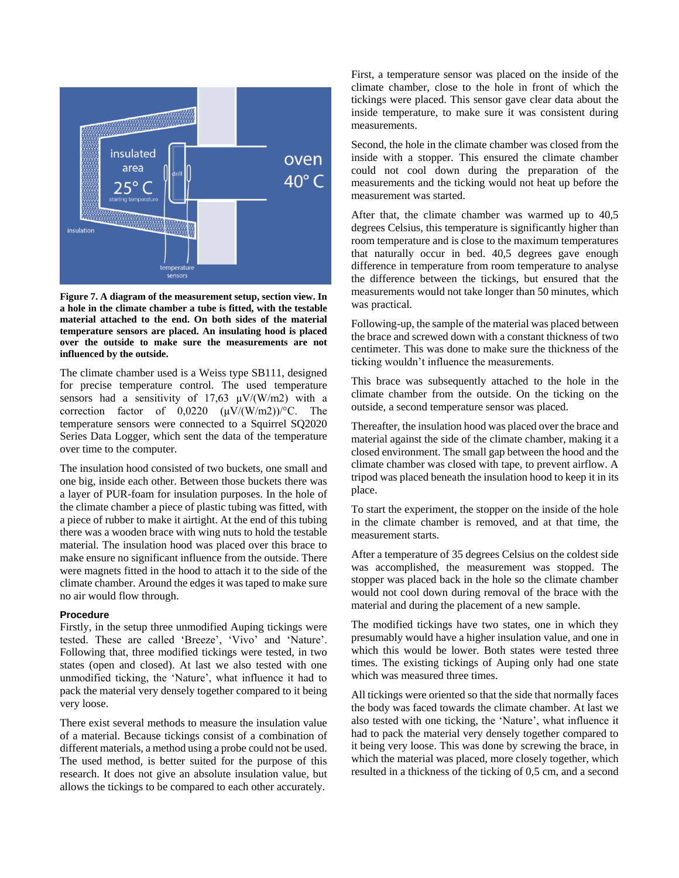

**Figure 7. A diagram of the measurement setup, section view. In a hole in the climate chamber a tube is fitted, with the testable material attached to the end. On both sides of the material temperature sensors are placed. An insulating hood is placed over the outside to make sure the measurements are not influenced by the outside.**

The climate chamber used is a Weiss type SB111, designed for precise temperature control. The used temperature sensors had a sensitivity of  $17,63 \mu V/(W/m2)$  with a correction factor of  $0,0220 \ (\mu V/(W/m2))$ <sup>o</sup>C. The temperature sensors were connected to a Squirrel SQ2020 Series Data Logger, which sent the data of the temperature over time to the computer.

The insulation hood consisted of two buckets, one small and one big, inside each other. Between those buckets there was a layer of PUR-foam for insulation purposes. In the hole of the climate chamber a piece of plastic tubing was fitted, with a piece of rubber to make it airtight. At the end of this tubing there was a wooden brace with wing nuts to hold the testable material. The insulation hood was placed over this brace to make ensure no significant influence from the outside. There were magnets fitted in the hood to attach it to the side of the climate chamber. Around the edges it was taped to make sure no air would flow through.

#### **Procedure**

Firstly, in the setup three unmodified Auping tickings were tested. These are called 'Breeze', 'Vivo' and 'Nature'. Following that, three modified tickings were tested, in two states (open and closed). At last we also tested with one unmodified ticking, the 'Nature', what influence it had to pack the material very densely together compared to it being very loose.

There exist several methods to measure the insulation value of a material. Because tickings consist of a combination of different materials, a method using a probe could not be used. The used method, is better suited for the purpose of this research. It does not give an absolute insulation value, but allows the tickings to be compared to each other accurately.

First, a temperature sensor was placed on the inside of the climate chamber, close to the hole in front of which the tickings were placed. This sensor gave clear data about the inside temperature, to make sure it was consistent during measurements.

Second, the hole in the climate chamber was closed from the inside with a stopper. This ensured the climate chamber could not cool down during the preparation of the measurements and the ticking would not heat up before the measurement was started.

After that, the climate chamber was warmed up to 40,5 degrees Celsius, this temperature is significantly higher than room temperature and is close to the maximum temperatures that naturally occur in bed. 40,5 degrees gave enough difference in temperature from room temperature to analyse the difference between the tickings, but ensured that the measurements would not take longer than 50 minutes, which was practical.

Following-up, the sample of the material was placed between the brace and screwed down with a constant thickness of two centimeter. This was done to make sure the thickness of the ticking wouldn't influence the measurements.

This brace was subsequently attached to the hole in the climate chamber from the outside. On the ticking on the outside, a second temperature sensor was placed.

Thereafter, the insulation hood was placed over the brace and material against the side of the climate chamber, making it a closed environment. The small gap between the hood and the climate chamber was closed with tape, to prevent airflow. A tripod was placed beneath the insulation hood to keep it in its place.

To start the experiment, the stopper on the inside of the hole in the climate chamber is removed, and at that time, the measurement starts.

After a temperature of 35 degrees Celsius on the coldest side was accomplished, the measurement was stopped. The stopper was placed back in the hole so the climate chamber would not cool down during removal of the brace with the material and during the placement of a new sample.

The modified tickings have two states, one in which they presumably would have a higher insulation value, and one in which this would be lower. Both states were tested three times. The existing tickings of Auping only had one state which was measured three times.

All tickings were oriented so that the side that normally faces the body was faced towards the climate chamber. At last we also tested with one ticking, the 'Nature', what influence it had to pack the material very densely together compared to it being very loose. This was done by screwing the brace, in which the material was placed, more closely together, which resulted in a thickness of the ticking of 0,5 cm, and a second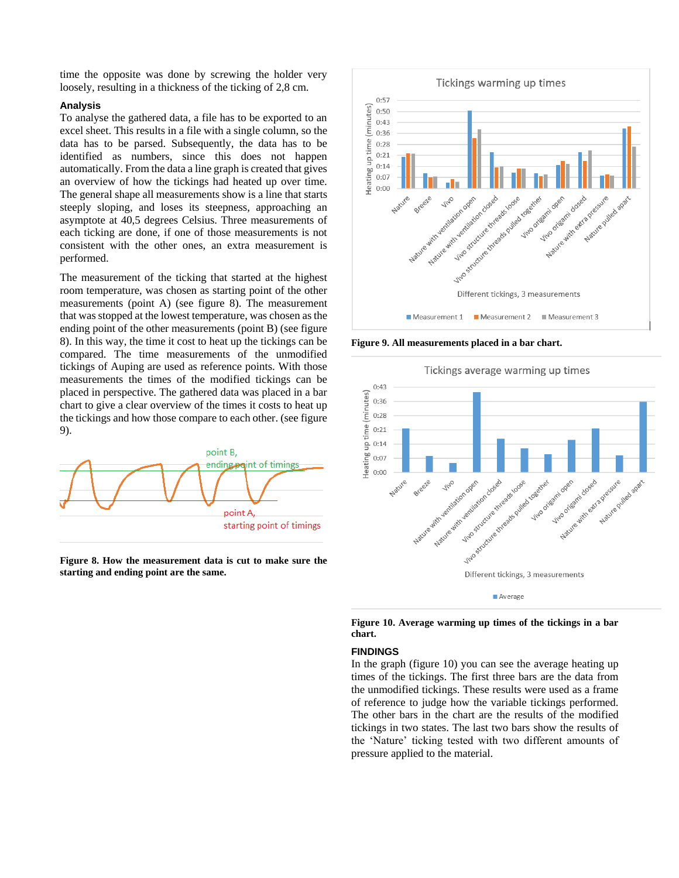time the opposite was done by screwing the holder very loosely, resulting in a thickness of the ticking of 2,8 cm.

#### **Analysis**

To analyse the gathered data, a file has to be exported to an excel sheet. This results in a file with a single column, so the data has to be parsed. Subsequently, the data has to be identified as numbers, since this does not happen automatically. From the data a line graph is created that gives an overview of how the tickings had heated up over time. The general shape all measurements show is a line that starts steeply sloping, and loses its steepness, approaching an asymptote at 40,5 degrees Celsius. Three measurements of each ticking are done, if one of those measurements is not consistent with the other ones, an extra measurement is performed.

The measurement of the ticking that started at the highest room temperature, was chosen as starting point of the other measurements (point A) (see figure 8). The measurement that was stopped at the lowest temperature, was chosen as the ending point of the other measurements (point B) (see figure 8). In this way, the time it cost to heat up the tickings can be compared. The time measurements of the unmodified tickings of Auping are used as reference points. With those measurements the times of the modified tickings can be placed in perspective. The gathered data was placed in a bar chart to give a clear overview of the times it costs to heat up the tickings and how those compare to each other. (see figure 9).



**Figure 8. How the measurement data is cut to make sure the starting and ending point are the same.** 



**Figure 9. All measurements placed in a bar chart.** 





**Figure 10. Average warming up times of the tickings in a bar chart.**

## **FINDINGS**

In the graph (figure 10) you can see the average heating up times of the tickings. The first three bars are the data from the unmodified tickings. These results were used as a frame of reference to judge how the variable tickings performed. The other bars in the chart are the results of the modified tickings in two states. The last two bars show the results of the 'Nature' ticking tested with two different amounts of pressure applied to the material.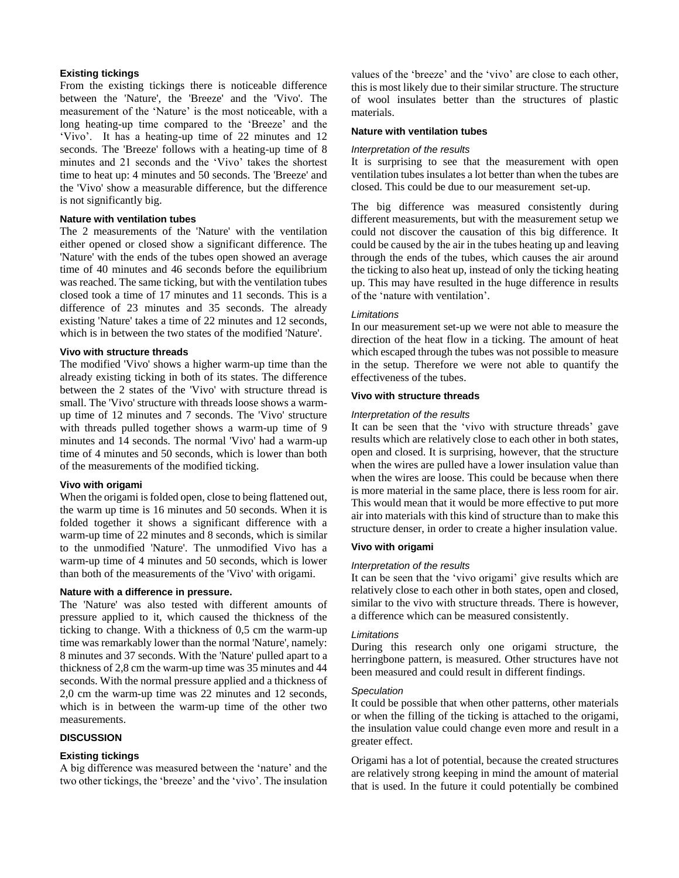## **Existing tickings**

From the existing tickings there is noticeable difference between the 'Nature', the 'Breeze' and the 'Vivo'. The measurement of the 'Nature' is the most noticeable, with a long heating-up time compared to the 'Breeze' and the 'Vivo'. It has a heating-up time of 22 minutes and 12 seconds. The 'Breeze' follows with a heating-up time of 8 minutes and 21 seconds and the 'Vivo' takes the shortest time to heat up: 4 minutes and 50 seconds. The 'Breeze' and the 'Vivo' show a measurable difference, but the difference is not significantly big.

#### **Nature with ventilation tubes**

The 2 measurements of the 'Nature' with the ventilation either opened or closed show a significant difference. The 'Nature' with the ends of the tubes open showed an average time of 40 minutes and 46 seconds before the equilibrium was reached. The same ticking, but with the ventilation tubes closed took a time of 17 minutes and 11 seconds. This is a difference of 23 minutes and 35 seconds. The already existing 'Nature' takes a time of 22 minutes and 12 seconds, which is in between the two states of the modified 'Nature'.

## **Vivo with structure threads**

The modified 'Vivo' shows a higher warm-up time than the already existing ticking in both of its states. The difference between the 2 states of the 'Vivo' with structure thread is small. The 'Vivo' structure with threads loose shows a warmup time of 12 minutes and 7 seconds. The 'Vivo' structure with threads pulled together shows a warm-up time of 9 minutes and 14 seconds. The normal 'Vivo' had a warm-up time of 4 minutes and 50 seconds, which is lower than both of the measurements of the modified ticking.

## **Vivo with origami**

When the origami is folded open, close to being flattened out, the warm up time is 16 minutes and 50 seconds. When it is folded together it shows a significant difference with a warm-up time of 22 minutes and 8 seconds, which is similar to the unmodified 'Nature'. The unmodified Vivo has a warm-up time of 4 minutes and 50 seconds, which is lower than both of the measurements of the 'Vivo' with origami.

## **Nature with a difference in pressure.**

The 'Nature' was also tested with different amounts of pressure applied to it, which caused the thickness of the ticking to change. With a thickness of 0,5 cm the warm-up time was remarkably lower than the normal 'Nature', namely: 8 minutes and 37 seconds. With the 'Nature' pulled apart to a thickness of 2,8 cm the warm-up time was 35 minutes and 44 seconds. With the normal pressure applied and a thickness of 2,0 cm the warm-up time was 22 minutes and 12 seconds, which is in between the warm-up time of the other two measurements.

# **DISCUSSION**

# **Existing tickings**

A big difference was measured between the 'nature' and the two other tickings, the 'breeze' and the 'vivo'. The insulation values of the 'breeze' and the 'vivo' are close to each other, this is most likely due to their similar structure. The structure of wool insulates better than the structures of plastic materials.

#### **Nature with ventilation tubes**

#### *Interpretation of the results*

It is surprising to see that the measurement with open ventilation tubes insulates a lot better than when the tubes are closed. This could be due to our measurement set-up.

The big difference was measured consistently during different measurements, but with the measurement setup we could not discover the causation of this big difference. It could be caused by the air in the tubes heating up and leaving through the ends of the tubes, which causes the air around the ticking to also heat up, instead of only the ticking heating up. This may have resulted in the huge difference in results of the 'nature with ventilation'.

## *Limitations*

In our measurement set-up we were not able to measure the direction of the heat flow in a ticking. The amount of heat which escaped through the tubes was not possible to measure in the setup. Therefore we were not able to quantify the effectiveness of the tubes.

## **Vivo with structure threads**

#### *Interpretation of the results*

It can be seen that the 'vivo with structure threads' gave results which are relatively close to each other in both states, open and closed. It is surprising, however, that the structure when the wires are pulled have a lower insulation value than when the wires are loose. This could be because when there is more material in the same place, there is less room for air. This would mean that it would be more effective to put more air into materials with this kind of structure than to make this structure denser, in order to create a higher insulation value.

# **Vivo with origami**

#### *Interpretation of the results*

It can be seen that the 'vivo origami' give results which are relatively close to each other in both states, open and closed, similar to the vivo with structure threads. There is however, a difference which can be measured consistently.

#### *Limitations*

During this research only one origami structure, the herringbone pattern, is measured. Other structures have not been measured and could result in different findings.

#### *Speculation*

It could be possible that when other patterns, other materials or when the filling of the ticking is attached to the origami, the insulation value could change even more and result in a greater effect.

Origami has a lot of potential, because the created structures are relatively strong keeping in mind the amount of material that is used. In the future it could potentially be combined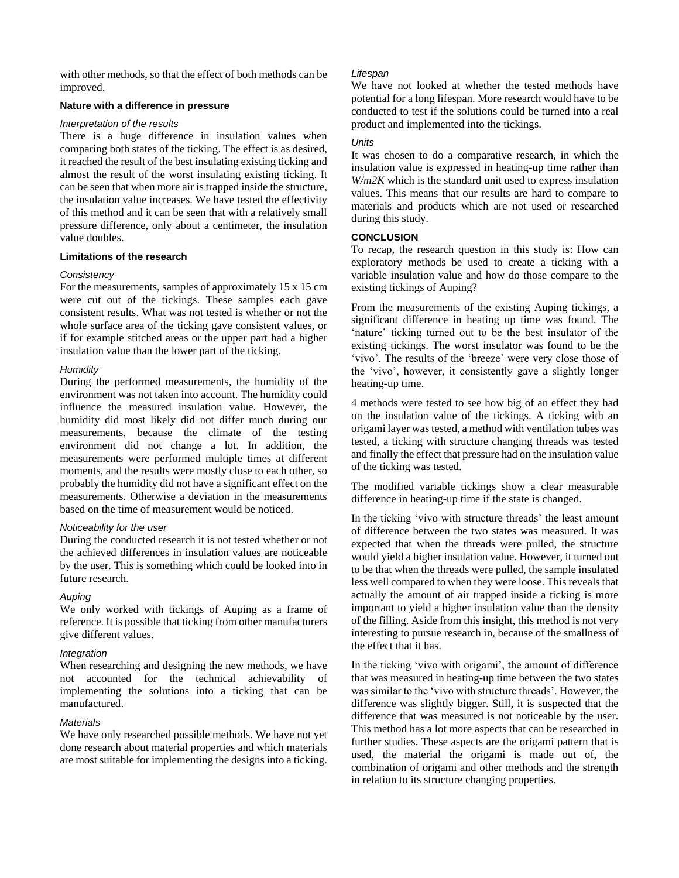with other methods, so that the effect of both methods can be improved.

## **Nature with a difference in pressure**

## *Interpretation of the results*

There is a huge difference in insulation values when comparing both states of the ticking. The effect is as desired, it reached the result of the best insulating existing ticking and almost the result of the worst insulating existing ticking. It can be seen that when more air is trapped inside the structure, the insulation value increases. We have tested the effectivity of this method and it can be seen that with a relatively small pressure difference, only about a centimeter, the insulation value doubles.

## **Limitations of the research**

## *Consistency*

For the measurements, samples of approximately 15 x 15 cm were cut out of the tickings. These samples each gave consistent results. What was not tested is whether or not the whole surface area of the ticking gave consistent values, or if for example stitched areas or the upper part had a higher insulation value than the lower part of the ticking.

## *Humidity*

During the performed measurements, the humidity of the environment was not taken into account. The humidity could influence the measured insulation value. However, the humidity did most likely did not differ much during our measurements, because the climate of the testing environment did not change a lot. In addition, the measurements were performed multiple times at different moments, and the results were mostly close to each other, so probably the humidity did not have a significant effect on the measurements. Otherwise a deviation in the measurements based on the time of measurement would be noticed.

## *Noticeability for the user*

During the conducted research it is not tested whether or not the achieved differences in insulation values are noticeable by the user. This is something which could be looked into in future research.

## *Auping*

We only worked with tickings of Auping as a frame of reference. It is possible that ticking from other manufacturers give different values.

## *Integration*

When researching and designing the new methods, we have not accounted for the technical achievability of implementing the solutions into a ticking that can be manufactured.

## *Materials*

We have only researched possible methods. We have not yet done research about material properties and which materials are most suitable for implementing the designs into a ticking.

# *Lifespan*

We have not looked at whether the tested methods have potential for a long lifespan. More research would have to be conducted to test if the solutions could be turned into a real product and implemented into the tickings.

# *Units*

It was chosen to do a comparative research, in which the insulation value is expressed in heating-up time rather than *W/m2K* which is the standard unit used to express insulation values. This means that our results are hard to compare to materials and products which are not used or researched during this study.

# **CONCLUSION**

To recap, the research question in this study is: How can exploratory methods be used to create a ticking with a variable insulation value and how do those compare to the existing tickings of Auping?

From the measurements of the existing Auping tickings, a significant difference in heating up time was found. The 'nature' ticking turned out to be the best insulator of the existing tickings. The worst insulator was found to be the 'vivo'. The results of the 'breeze' were very close those of the 'vivo', however, it consistently gave a slightly longer heating-up time.

4 methods were tested to see how big of an effect they had on the insulation value of the tickings. A ticking with an origami layer was tested, a method with ventilation tubes was tested, a ticking with structure changing threads was tested and finally the effect that pressure had on the insulation value of the ticking was tested.

The modified variable tickings show a clear measurable difference in heating-up time if the state is changed.

In the ticking 'vivo with structure threads' the least amount of difference between the two states was measured. It was expected that when the threads were pulled, the structure would yield a higher insulation value. However, it turned out to be that when the threads were pulled, the sample insulated less well compared to when they were loose. This reveals that actually the amount of air trapped inside a ticking is more important to yield a higher insulation value than the density of the filling. Aside from this insight, this method is not very interesting to pursue research in, because of the smallness of the effect that it has.

In the ticking 'vivo with origami', the amount of difference that was measured in heating-up time between the two states was similar to the 'vivo with structure threads'. However, the difference was slightly bigger. Still, it is suspected that the difference that was measured is not noticeable by the user. This method has a lot more aspects that can be researched in further studies. These aspects are the origami pattern that is used, the material the origami is made out of, the combination of origami and other methods and the strength in relation to its structure changing properties.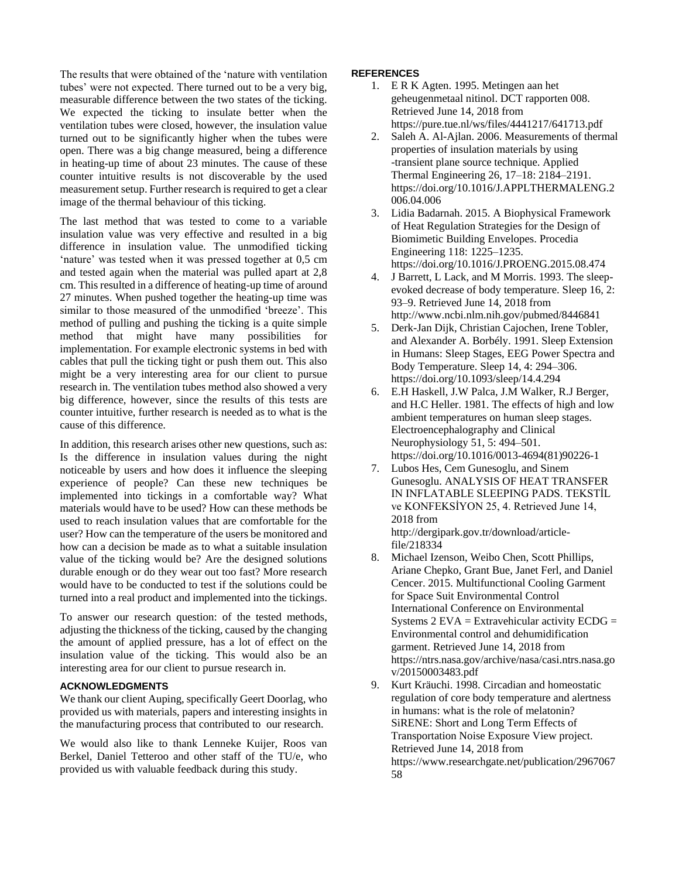The results that were obtained of the 'nature with ventilation tubes' were not expected. There turned out to be a very big, measurable difference between the two states of the ticking. We expected the ticking to insulate better when the ventilation tubes were closed, however, the insulation value turned out to be significantly higher when the tubes were open. There was a big change measured, being a difference in heating-up time of about 23 minutes. The cause of these counter intuitive results is not discoverable by the used measurement setup. Further research is required to get a clear image of the thermal behaviour of this ticking.

The last method that was tested to come to a variable insulation value was very effective and resulted in a big difference in insulation value. The unmodified ticking 'nature' was tested when it was pressed together at 0,5 cm and tested again when the material was pulled apart at 2,8 cm. This resulted in a difference of heating-up time of around 27 minutes. When pushed together the heating-up time was similar to those measured of the unmodified 'breeze'. This method of pulling and pushing the ticking is a quite simple method that might have many possibilities for implementation. For example electronic systems in bed with cables that pull the ticking tight or push them out. This also might be a very interesting area for our client to pursue research in. The ventilation tubes method also showed a very big difference, however, since the results of this tests are counter intuitive, further research is needed as to what is the cause of this difference.

In addition, this research arises other new questions, such as: Is the difference in insulation values during the night noticeable by users and how does it influence the sleeping experience of people? Can these new techniques be implemented into tickings in a comfortable way? What materials would have to be used? How can these methods be used to reach insulation values that are comfortable for the user? How can the temperature of the users be monitored and how can a decision be made as to what a suitable insulation value of the ticking would be? Are the designed solutions durable enough or do they wear out too fast? More research would have to be conducted to test if the solutions could be turned into a real product and implemented into the tickings.

To answer our research question: of the tested methods, adjusting the thickness of the ticking, caused by the changing the amount of applied pressure, has a lot of effect on the insulation value of the ticking. This would also be an interesting area for our client to pursue research in.

## **ACKNOWLEDGMENTS**

We thank our client Auping, specifically Geert Doorlag, who provided us with materials, papers and interesting insights in the manufacturing process that contributed to our research.

We would also like to thank Lenneke Kuijer, Roos van Berkel, Daniel Tetteroo and other staff of the TU/e, who provided us with valuable feedback during this study.

## **REFERENCES**

- 1. E R K Agten. 1995. Metingen aan het geheugenmetaal nitinol. DCT rapporten 008. Retrieved June 14, 2018 from <https://pure.tue.nl/ws/files/4441217/641713.pdf>
- 2. Saleh A. Al-Ajlan. 2006. Measurements of thermal properties of insulation materials by using -transient plane source technique. Applied Thermal Engineering 26, 17–18: 2184–2191. [https://doi.org/10.1016/J.APPLTHERMALENG.2](https://doi.org/10.1016/J.APPLTHERMALENG.2006.04.006) [006.04.006](https://doi.org/10.1016/J.APPLTHERMALENG.2006.04.006)
- 3. Lidia Badarnah. 2015. A Biophysical Framework of Heat Regulation Strategies for the Design of Biomimetic Building Envelopes. Procedia Engineering 118: 1225–1235. <https://doi.org/10.1016/J.PROENG.2015.08.474>
- 4. J Barrett, L Lack, and M Morris. 1993. The sleepevoked decrease of body temperature. Sleep 16, 2: 93–9. Retrieved June 14, 2018 from <http://www.ncbi.nlm.nih.gov/pubmed/8446841>
- 5. Derk-Jan Dijk, Christian Cajochen, Irene Tobler, and Alexander A. Borbély. 1991. Sleep Extension in Humans: Sleep Stages, EEG Power Spectra and Body Temperature. Sleep 14, 4: 294–306. <https://doi.org/10.1093/sleep/14.4.294>
- 6. E.H Haskell, J.W Palca, J.M Walker, R.J Berger, and H.C Heller. 1981. The effects of high and low ambient temperatures on human sleep stages. Electroencephalography and Clinical Neurophysiology 51, 5: 494–501. [https://doi.org/10.1016/0013-4694\(81\)90226-1](https://doi.org/10.1016/0013-4694(81)90226-1)
- 7. Lubos Hes, Cem Gunesoglu, and Sinem Gunesoglu. ANALYSIS OF HEAT TRANSFER IN INFLATABLE SLEEPING PADS. TEKSTİL ve KONFEKSİYON 25, 4. Retrieved June 14, 2018 from [http://dergipark.gov.tr/download/article](http://dergipark.gov.tr/download/article-file/218334)[file/218334](http://dergipark.gov.tr/download/article-file/218334)
- 8. Michael Izenson, Weibo Chen, Scott Phillips, Ariane Chepko, Grant Bue, Janet Ferl, and Daniel Cencer. 2015. Multifunctional Cooling Garment for Space Suit Environmental Control International Conference on Environmental Systems  $2$  EVA = Extravehicular activity ECDG = Environmental control and dehumidification garment. Retrieved June 14, 2018 from [https://ntrs.nasa.gov/archive/nasa/casi.ntrs.nasa.go](https://ntrs.nasa.gov/archive/nasa/casi.ntrs.nasa.gov/20150003483.pdf) [v/20150003483.pdf](https://ntrs.nasa.gov/archive/nasa/casi.ntrs.nasa.gov/20150003483.pdf)
- 9. Kurt Kräuchi. 1998. Circadian and homeostatic regulation of core body temperature and alertness in humans: what is the role of melatonin? SiRENE: Short and Long Term Effects of Transportation Noise Exposure View project. Retrieved June 14, 2018 from [https://www.researchgate.net/publication/2967067](https://www.researchgate.net/publication/296706758) [58](https://www.researchgate.net/publication/296706758)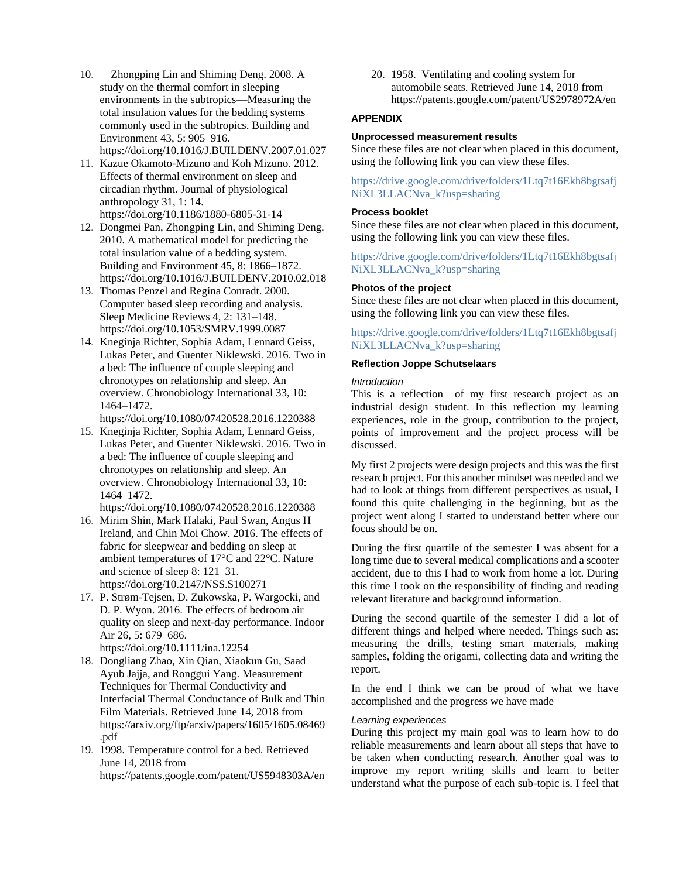- 10. Zhongping Lin and Shiming Deng. 2008. A study on the thermal comfort in sleeping environments in the subtropics—Measuring the total insulation values for the bedding systems commonly used in the subtropics. Building and Environment 43, 5: 905–916. <https://doi.org/10.1016/J.BUILDENV.2007.01.027>
- 11. Kazue Okamoto-Mizuno and Koh Mizuno. 2012. Effects of thermal environment on sleep and circadian rhythm. Journal of physiological anthropology 31, 1: 14. <https://doi.org/10.1186/1880-6805-31-14>
- 12. Dongmei Pan, Zhongping Lin, and Shiming Deng. 2010. A mathematical model for predicting the total insulation value of a bedding system. Building and Environment 45, 8: 1866–1872. <https://doi.org/10.1016/J.BUILDENV.2010.02.018>
- 13. Thomas Penzel and Regina Conradt. 2000. Computer based sleep recording and analysis. Sleep Medicine Reviews 4, 2: 131–148. <https://doi.org/10.1053/SMRV.1999.0087>
- 14. Kneginja Richter, Sophia Adam, Lennard Geiss, Lukas Peter, and Guenter Niklewski. 2016. Two in a bed: The influence of couple sleeping and chronotypes on relationship and sleep. An overview. Chronobiology International 33, 10: 1464–1472.

<https://doi.org/10.1080/07420528.2016.1220388>

15. Kneginja Richter, Sophia Adam, Lennard Geiss, Lukas Peter, and Guenter Niklewski. 2016. Two in a bed: The influence of couple sleeping and chronotypes on relationship and sleep. An overview. Chronobiology International 33, 10: 1464–1472.

<https://doi.org/10.1080/07420528.2016.1220388>

- 16. Mirim Shin, Mark Halaki, Paul Swan, Angus H Ireland, and Chin Moi Chow. 2016. The effects of fabric for sleepwear and bedding on sleep at ambient temperatures of 17°C and 22°C. Nature and science of sleep 8: 121–31. <https://doi.org/10.2147/NSS.S100271>
- 17. P. Strøm-Tejsen, D. Zukowska, P. Wargocki, and D. P. Wyon. 2016. The effects of bedroom air quality on sleep and next-day performance. Indoor Air 26, 5: 679–686.

<https://doi.org/10.1111/ina.12254>

- 18. Dongliang Zhao, Xin Qian, Xiaokun Gu, Saad Ayub Jajja, and Ronggui Yang. Measurement Techniques for Thermal Conductivity and Interfacial Thermal Conductance of Bulk and Thin Film Materials. Retrieved June 14, 2018 from [https://arxiv.org/ftp/arxiv/papers/1605/1605.08469](https://arxiv.org/ftp/arxiv/papers/1605/1605.08469.pdf) [.pdf](https://arxiv.org/ftp/arxiv/papers/1605/1605.08469.pdf)
- 19. 1998. Temperature control for a bed. Retrieved June 14, 2018 from <https://patents.google.com/patent/US5948303A/en>

20. 1958. Ventilating and cooling system for automobile seats. Retrieved June 14, 2018 from <https://patents.google.com/patent/US2978972A/en>

# **APPENDIX**

## **Unprocessed measurement results**

Since these files are not clear when placed in this document, using the following link you can view these files.

[https://drive.google.com/drive/folders/1Ltq7t16Ekh8bgtsafj](https://drive.google.com/drive/folders/1Ltq7t16Ekh8bgtsafjNiXL3LLACNva_k?usp=sharing) [NiXL3LLACNva\\_k?usp=sharing](https://drive.google.com/drive/folders/1Ltq7t16Ekh8bgtsafjNiXL3LLACNva_k?usp=sharing)

## **Process booklet**

Since these files are not clear when placed in this document, using the following link you can view these files.

[https://drive.google.com/drive/folders/1Ltq7t16Ekh8bgtsafj](https://drive.google.com/drive/folders/1Ltq7t16Ekh8bgtsafjNiXL3LLACNva_k?usp=sharing) [NiXL3LLACNva\\_k?usp=sharing](https://drive.google.com/drive/folders/1Ltq7t16Ekh8bgtsafjNiXL3LLACNva_k?usp=sharing)

## **Photos of the project**

Since these files are not clear when placed in this document, using the following link you can view these files.

[https://drive.google.com/drive/folders/1Ltq7t16Ekh8bgtsafj](https://drive.google.com/drive/folders/1Ltq7t16Ekh8bgtsafjNiXL3LLACNva_k?usp=sharing) [NiXL3LLACNva\\_k?usp=sharing](https://drive.google.com/drive/folders/1Ltq7t16Ekh8bgtsafjNiXL3LLACNva_k?usp=sharing)

## **Reflection Joppe Schutselaars**

## *Introduction*

This is a reflection of my first research project as an industrial design student. In this reflection my learning experiences, role in the group, contribution to the project, points of improvement and the project process will be discussed.

My first 2 projects were design projects and this was the first research project. For this another mindset was needed and we had to look at things from different perspectives as usual, I found this quite challenging in the beginning, but as the project went along I started to understand better where our focus should be on.

During the first quartile of the semester I was absent for a long time due to several medical complications and a scooter accident, due to this I had to work from home a lot. During this time I took on the responsibility of finding and reading relevant literature and background information.

During the second quartile of the semester I did a lot of different things and helped where needed. Things such as: measuring the drills, testing smart materials, making samples, folding the origami, collecting data and writing the report.

In the end I think we can be proud of what we have accomplished and the progress we have made

## *Learning experiences*

During this project my main goal was to learn how to do reliable measurements and learn about all steps that have to be taken when conducting research. Another goal was to improve my report writing skills and learn to better understand what the purpose of each sub-topic is. I feel that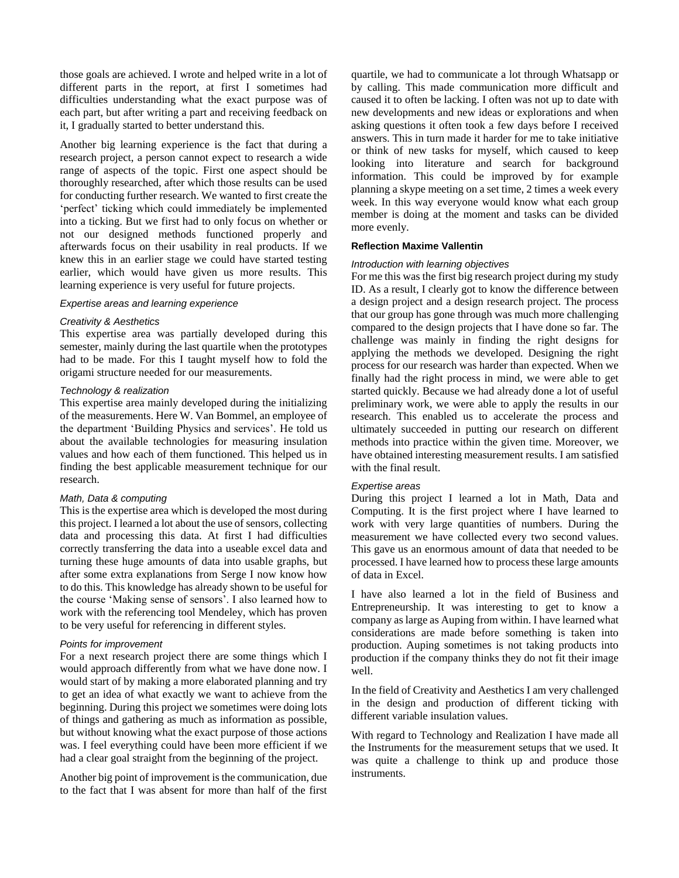those goals are achieved. I wrote and helped write in a lot of different parts in the report, at first I sometimes had difficulties understanding what the exact purpose was of each part, but after writing a part and receiving feedback on it, I gradually started to better understand this.

Another big learning experience is the fact that during a research project, a person cannot expect to research a wide range of aspects of the topic. First one aspect should be thoroughly researched, after which those results can be used for conducting further research. We wanted to first create the 'perfect' ticking which could immediately be implemented into a ticking. But we first had to only focus on whether or not our designed methods functioned properly and afterwards focus on their usability in real products. If we knew this in an earlier stage we could have started testing earlier, which would have given us more results. This learning experience is very useful for future projects.

#### *Expertise areas and learning experience*

#### *Creativity & Aesthetics*

This expertise area was partially developed during this semester, mainly during the last quartile when the prototypes had to be made. For this I taught myself how to fold the origami structure needed for our measurements.

#### *Technology & realization*

This expertise area mainly developed during the initializing of the measurements. Here W. Van Bommel, an employee of the department 'Building Physics and services'. He told us about the available technologies for measuring insulation values and how each of them functioned. This helped us in finding the best applicable measurement technique for our research.

#### *Math, Data & computing*

This is the expertise area which is developed the most during this project. I learned a lot about the use of sensors, collecting data and processing this data. At first I had difficulties correctly transferring the data into a useable excel data and turning these huge amounts of data into usable graphs, but after some extra explanations from Serge I now know how to do this. This knowledge has already shown to be useful for the course 'Making sense of sensors'. I also learned how to work with the referencing tool Mendeley, which has proven to be very useful for referencing in different styles.

#### *Points for improvement*

For a next research project there are some things which I would approach differently from what we have done now. I would start of by making a more elaborated planning and try to get an idea of what exactly we want to achieve from the beginning. During this project we sometimes were doing lots of things and gathering as much as information as possible, but without knowing what the exact purpose of those actions was. I feel everything could have been more efficient if we had a clear goal straight from the beginning of the project.

Another big point of improvement is the communication, due to the fact that I was absent for more than half of the first

quartile, we had to communicate a lot through Whatsapp or by calling. This made communication more difficult and caused it to often be lacking. I often was not up to date with new developments and new ideas or explorations and when asking questions it often took a few days before I received answers. This in turn made it harder for me to take initiative or think of new tasks for myself, which caused to keep looking into literature and search for background information. This could be improved by for example planning a skype meeting on a set time, 2 times a week every week. In this way everyone would know what each group member is doing at the moment and tasks can be divided more evenly.

#### **Reflection Maxime Vallentin**

#### *Introduction with learning objectives*

For me this was the first big research project during my study ID. As a result, I clearly got to know the difference between a design project and a design research project. The process that our group has gone through was much more challenging compared to the design projects that I have done so far. The challenge was mainly in finding the right designs for applying the methods we developed. Designing the right process for our research was harder than expected. When we finally had the right process in mind, we were able to get started quickly. Because we had already done a lot of useful preliminary work, we were able to apply the results in our research. This enabled us to accelerate the process and ultimately succeeded in putting our research on different methods into practice within the given time. Moreover, we have obtained interesting measurement results. I am satisfied with the final result.

#### *Expertise areas*

During this project I learned a lot in Math, Data and Computing. It is the first project where I have learned to work with very large quantities of numbers. During the measurement we have collected every two second values. This gave us an enormous amount of data that needed to be processed. I have learned how to process these large amounts of data in Excel.

I have also learned a lot in the field of Business and Entrepreneurship. It was interesting to get to know a company as large as Auping from within. I have learned what considerations are made before something is taken into production. Auping sometimes is not taking products into production if the company thinks they do not fit their image well.

In the field of Creativity and Aesthetics I am very challenged in the design and production of different ticking with different variable insulation values.

With regard to Technology and Realization I have made all the Instruments for the measurement setups that we used. It was quite a challenge to think up and produce those instruments.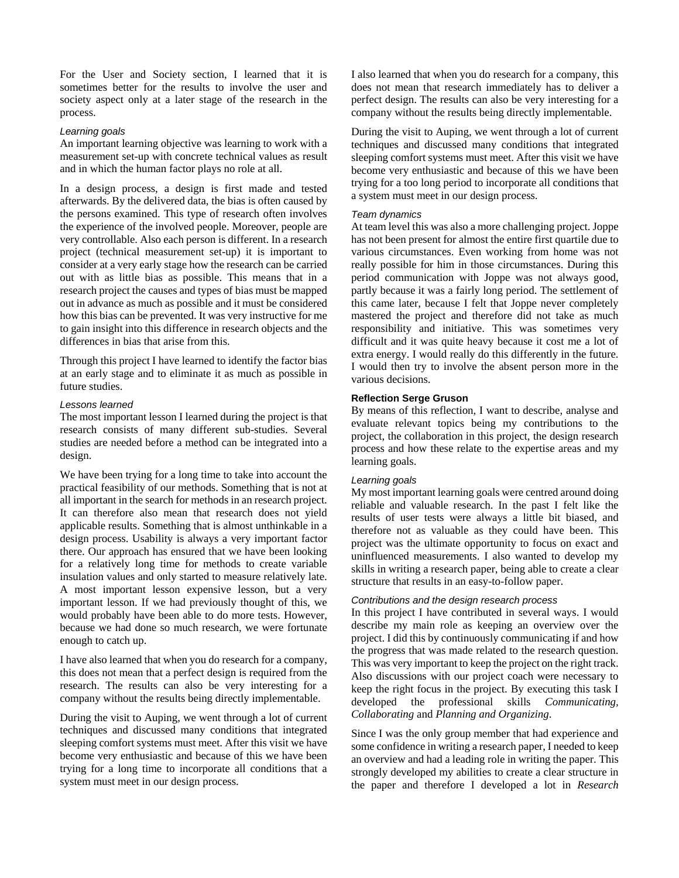For the User and Society section, I learned that it is sometimes better for the results to involve the user and society aspect only at a later stage of the research in the process.

## *Learning goals*

An important learning objective was learning to work with a measurement set-up with concrete technical values as result and in which the human factor plays no role at all.

In a design process, a design is first made and tested afterwards. By the delivered data, the bias is often caused by the persons examined. This type of research often involves the experience of the involved people. Moreover, people are very controllable. Also each person is different. In a research project (technical measurement set-up) it is important to consider at a very early stage how the research can be carried out with as little bias as possible. This means that in a research project the causes and types of bias must be mapped out in advance as much as possible and it must be considered how this bias can be prevented. It was very instructive for me to gain insight into this difference in research objects and the differences in bias that arise from this.

Through this project I have learned to identify the factor bias at an early stage and to eliminate it as much as possible in future studies.

## *Lessons learned*

The most important lesson I learned during the project is that research consists of many different sub-studies. Several studies are needed before a method can be integrated into a design.

We have been trying for a long time to take into account the practical feasibility of our methods. Something that is not at all important in the search for methods in an research project. It can therefore also mean that research does not yield applicable results. Something that is almost unthinkable in a design process. Usability is always a very important factor there. Our approach has ensured that we have been looking for a relatively long time for methods to create variable insulation values and only started to measure relatively late. A most important lesson expensive lesson, but a very important lesson. If we had previously thought of this, we would probably have been able to do more tests. However, because we had done so much research, we were fortunate enough to catch up.

I have also learned that when you do research for a company, this does not mean that a perfect design is required from the research. The results can also be very interesting for a company without the results being directly implementable.

During the visit to Auping, we went through a lot of current techniques and discussed many conditions that integrated sleeping comfort systems must meet. After this visit we have become very enthusiastic and because of this we have been trying for a long time to incorporate all conditions that a system must meet in our design process.

I also learned that when you do research for a company, this does not mean that research immediately has to deliver a perfect design. The results can also be very interesting for a company without the results being directly implementable.

During the visit to Auping, we went through a lot of current techniques and discussed many conditions that integrated sleeping comfort systems must meet. After this visit we have become very enthusiastic and because of this we have been trying for a too long period to incorporate all conditions that a system must meet in our design process.

#### *Team dynamics*

At team level this was also a more challenging project. Joppe has not been present for almost the entire first quartile due to various circumstances. Even working from home was not really possible for him in those circumstances. During this period communication with Joppe was not always good, partly because it was a fairly long period. The settlement of this came later, because I felt that Joppe never completely mastered the project and therefore did not take as much responsibility and initiative. This was sometimes very difficult and it was quite heavy because it cost me a lot of extra energy. I would really do this differently in the future. I would then try to involve the absent person more in the various decisions.

#### **Reflection Serge Gruson**

By means of this reflection, I want to describe, analyse and evaluate relevant topics being my contributions to the project, the collaboration in this project, the design research process and how these relate to the expertise areas and my learning goals.

#### *Learning goals*

My most important learning goals were centred around doing reliable and valuable research. In the past I felt like the results of user tests were always a little bit biased, and therefore not as valuable as they could have been. This project was the ultimate opportunity to focus on exact and uninfluenced measurements. I also wanted to develop my skills in writing a research paper, being able to create a clear structure that results in an easy-to-follow paper.

## *Contributions and the design research process*

In this project I have contributed in several ways. I would describe my main role as keeping an overview over the project. I did this by continuously communicating if and how the progress that was made related to the research question. This was very important to keep the project on the right track. Also discussions with our project coach were necessary to keep the right focus in the project. By executing this task I developed the professional skills *Communicating, Collaborating* and *Planning and Organizing*.

Since I was the only group member that had experience and some confidence in writing a research paper, I needed to keep an overview and had a leading role in writing the paper. This strongly developed my abilities to create a clear structure in the paper and therefore I developed a lot in *Research*